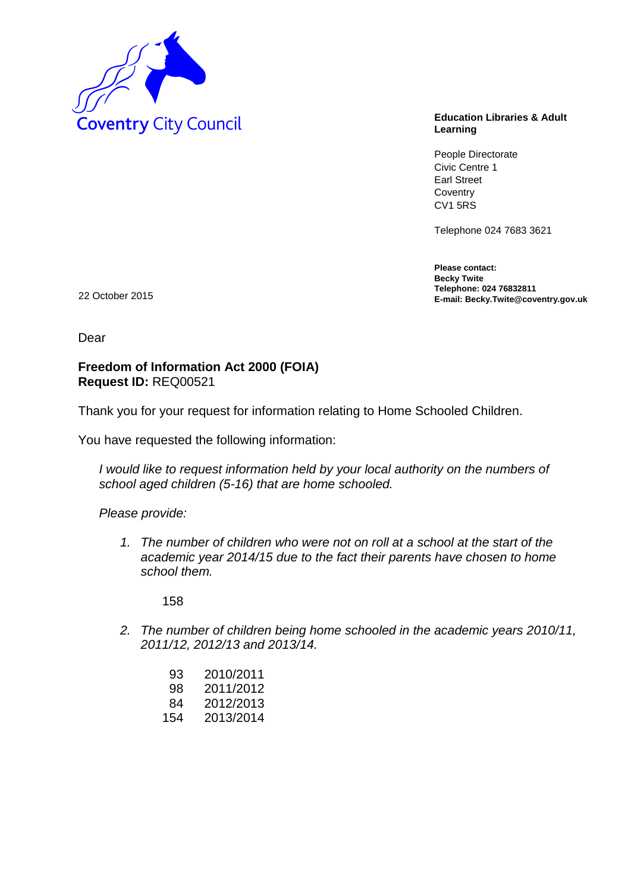

## **Learning**

People Directorate Civic Centre 1 Earl Street **Coventry** CV1 5RS

Telephone 024 7683 3621

**Please contact: Becky Twite Telephone: 024 76832811 E-mail: Becky.Twite@coventry.gov.uk** 22 October 2015

Dear

## **Freedom of Information Act 2000 (FOIA) Request ID:** REQ00521

Thank you for your request for information relating to Home Schooled Children.

You have requested the following information:

*I would like to request information held by your local authority on the numbers of school aged children (5-16) that are home schooled.*

*Please provide:*

*1. The number of children who were not on roll at a school at the start of the academic year 2014/15 due to the fact their parents have chosen to home school them.*

158

*2. The number of children being home schooled in the academic years 2010/11, 2011/12, 2012/13 and 2013/14.*

| 93  | 2010/2011 |
|-----|-----------|
| 98  | 2011/2012 |
| 84  | 2012/2013 |
| 154 | 2013/2014 |